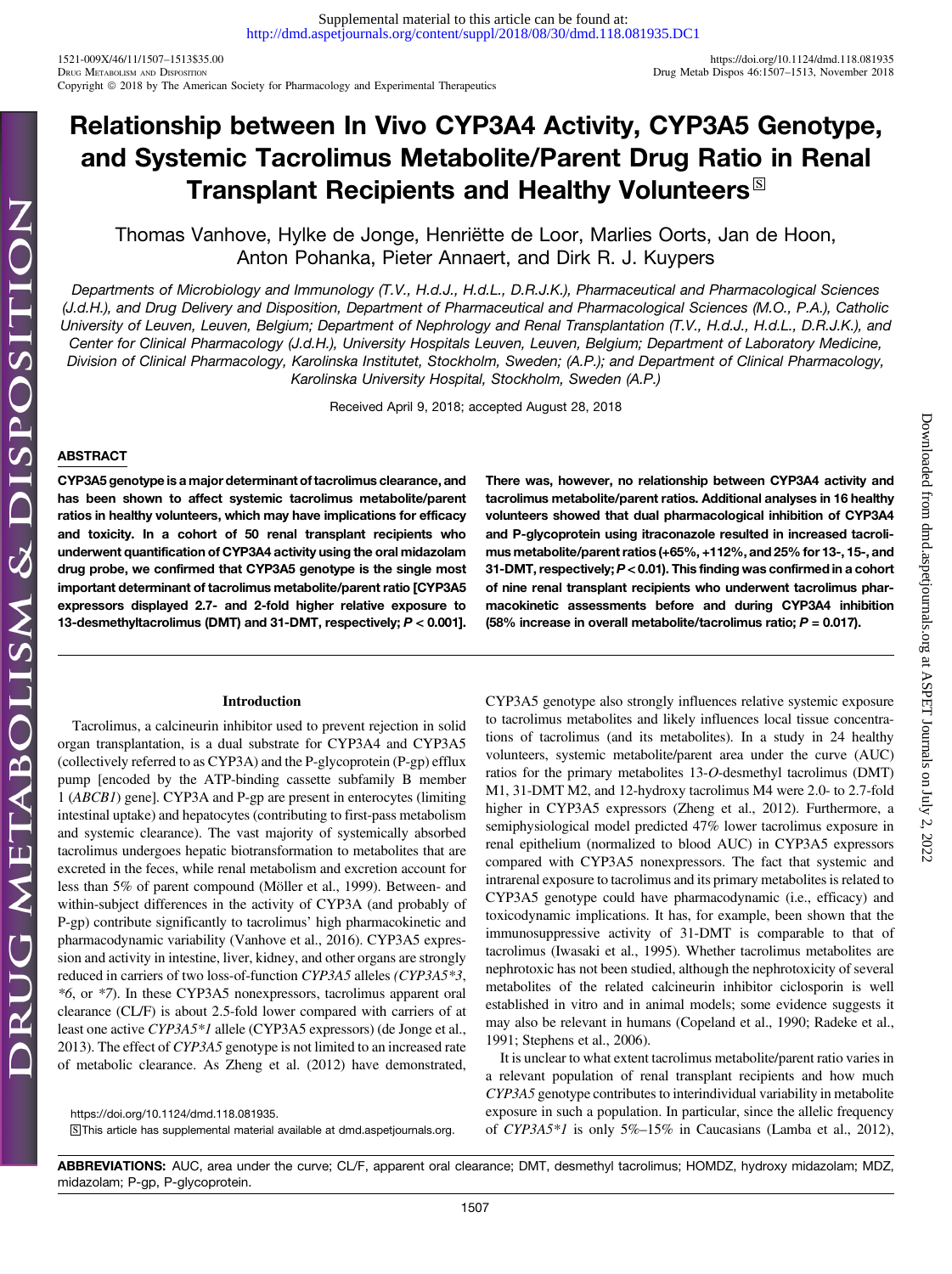1521-009X/46/11/1507–1513\$35.00 <https://doi.org/10.1124/dmd.118.081935> Copyright © 2018 by The American Society for Pharmacology and Experimental Therapeutics

# Relationship between In Vivo CYP3A4 Activity, CYP3A5 Genotype, and Systemic Tacrolimus Metabolite/Parent Drug Ratio in Renal Transplant Recipients and Healthy Volunteers  $\mathbb{S}$

Thomas Vanhove, Hylke de Jonge, Henriëtte de Loor, Marlies Oorts, Jan de Hoon, Anton Pohanka, Pieter Annaert, and Dirk R. J. Kuypers

Departments of Microbiology and Immunology (T.V., H.d.J., H.d.L., D.R.J.K.), Pharmaceutical and Pharmacological Sciences (J.d.H.), and Drug Delivery and Disposition, Department of Pharmaceutical and Pharmacological Sciences (M.O., P.A.), Catholic University of Leuven, Leuven, Belgium; Department of Nephrology and Renal Transplantation (T.V., H.d.J., H.d.L., D.R.J.K.), and Center for Clinical Pharmacology (J.d.H.), University Hospitals Leuven, Leuven, Belgium; Department of Laboratory Medicine, Division of Clinical Pharmacology, Karolinska Institutet, Stockholm, Sweden; (A.P.); and Department of Clinical Pharmacology, Karolinska University Hospital, Stockholm, Sweden (A.P.)

Received April 9, 2018; accepted August 28, 2018

# ABSTRACT

CYP3A5 genotype is a major determinant of tacrolimus clearance, and has been shown to affect systemic tacrolimus metabolite/parent ratios in healthy volunteers, which may have implications for efficacy and toxicity. In a cohort of 50 renal transplant recipients who underwent quantification of CYP3A4 activity using the oral midazolam drug probe, we confirmed that CYP3A5 genotype is the single most important determinant of tacrolimus metabolite/parent ratio [CYP3A5 expressors displayed 2.7- and 2-fold higher relative exposure to 13-desmethyltacrolimus (DMT) and 31-DMT, respectively; P < 0.001].

# Introduction

Tacrolimus, a calcineurin inhibitor used to prevent rejection in solid organ transplantation, is a dual substrate for CYP3A4 and CYP3A5 (collectively referred to as CYP3A) and the P-glycoprotein (P-gp) efflux pump [encoded by the ATP-binding cassette subfamily B member 1 (ABCB1) gene]. CYP3A and P-gp are present in enterocytes (limiting intestinal uptake) and hepatocytes (contributing to first-pass metabolism and systemic clearance). The vast majority of systemically absorbed tacrolimus undergoes hepatic biotransformation to metabolites that are excreted in the feces, while renal metabolism and excretion account for less than 5% of parent compound (Möller et al., 1999). Between- and within-subject differences in the activity of CYP3A (and probably of P-gp) contribute significantly to tacrolimus' high pharmacokinetic and pharmacodynamic variability (Vanhove et al., 2016). CYP3A5 expression and activity in intestine, liver, kidney, and other organs are strongly reduced in carriers of two loss-of-function CYP3A5 alleles (CYP3A5\*3, \*6, or \*7). In these CYP3A5 nonexpressors, tacrolimus apparent oral clearance (CL/F) is about 2.5-fold lower compared with carriers of at least one active CYP3A5\*1 allele (CYP3A5 expressors) (de Jonge et al., 2013). The effect of CYP3A5 genotype is not limited to an increased rate of metabolic clearance. As Zheng et al. (2012) have demonstrated,

<https://doi.org/10.1124/dmd.118.081935>. S This article has supplemental material available at [dmd.aspetjournals.org.](http://dmd.aspetjournals.org) There was, however, no relationship between CYP3A4 activity and tacrolimus metabolite/parent ratios. Additional analyses in 16 healthy volunteers showed that dual pharmacological inhibition of CYP3A4 and P-glycoprotein using itraconazole resulted in increased tacrolimus metabolite/parent ratios (+65%, +112%, and 25% for 13-, 15-, and 31-DMT, respectively; P < 0.01). This finding was confirmed in a cohort of nine renal transplant recipients who underwent tacrolimus pharmacokinetic assessments before and during CYP3A4 inhibition (58% increase in overall metabolite/tacrolimus ratio;  $P = 0.017$ ).

CYP3A5 genotype also strongly influences relative systemic exposure to tacrolimus metabolites and likely influences local tissue concentrations of tacrolimus (and its metabolites). In a study in 24 healthy volunteers, systemic metabolite/parent area under the curve (AUC) ratios for the primary metabolites 13-O-desmethyl tacrolimus (DMT) M1, 31-DMT M2, and 12-hydroxy tacrolimus M4 were 2.0- to 2.7-fold higher in CYP3A5 expressors (Zheng et al., 2012). Furthermore, a semiphysiological model predicted 47% lower tacrolimus exposure in renal epithelium (normalized to blood AUC) in CYP3A5 expressors compared with CYP3A5 nonexpressors. The fact that systemic and intrarenal exposure to tacrolimus and its primary metabolites is related to CYP3A5 genotype could have pharmacodynamic (i.e., efficacy) and toxicodynamic implications. It has, for example, been shown that the immunosuppressive activity of 31-DMT is comparable to that of tacrolimus (Iwasaki et al., 1995). Whether tacrolimus metabolites are nephrotoxic has not been studied, although the nephrotoxicity of several metabolites of the related calcineurin inhibitor ciclosporin is well established in vitro and in animal models; some evidence suggests it may also be relevant in humans (Copeland et al., 1990; Radeke et al., 1991; Stephens et al., 2006).

It is unclear to what extent tacrolimus metabolite/parent ratio varies in a relevant population of renal transplant recipients and how much CYP3A5 genotype contributes to interindividual variability in metabolite exposure in such a population. In particular, since the allelic frequency of CYP3A5\*1 is only 5%–15% in Caucasians (Lamba et al., 2012),

ABBREVIATIONS: AUC, area under the curve; CL/F, apparent oral clearance; DMT, desmethyl tacrolimus; HOMDZ, hydroxy midazolam; MDZ, midazolam; P-gp, P-glycoprotein.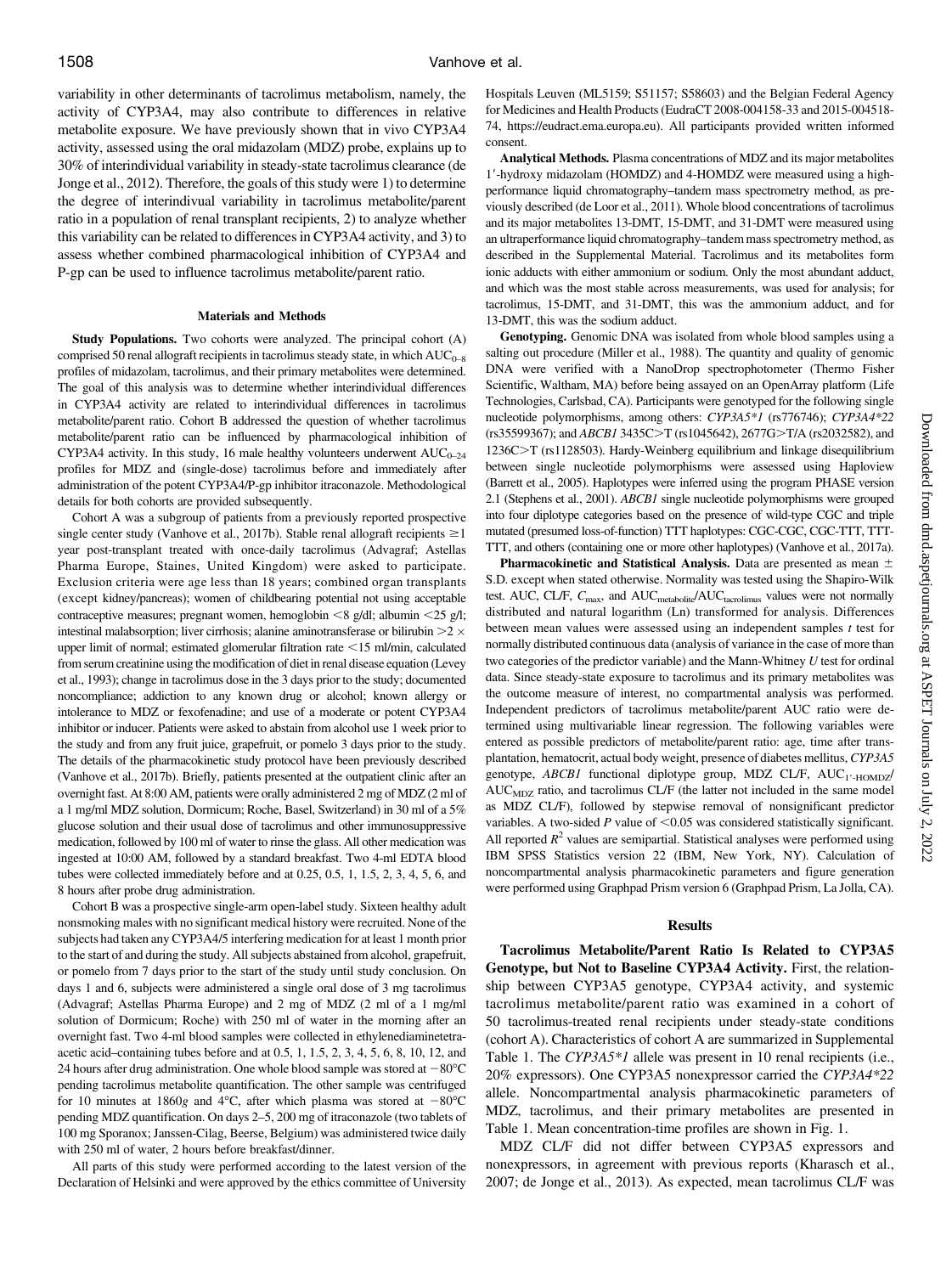variability in other determinants of tacrolimus metabolism, namely, the activity of CYP3A4, may also contribute to differences in relative metabolite exposure. We have previously shown that in vivo CYP3A4 activity, assessed using the oral midazolam (MDZ) probe, explains up to 30% of interindividual variability in steady-state tacrolimus clearance (de Jonge et al., 2012). Therefore, the goals of this study were 1) to determine the degree of interindivual variability in tacrolimus metabolite/parent ratio in a population of renal transplant recipients, 2) to analyze whether this variability can be related to differences in CYP3A4 activity, and 3) to assess whether combined pharmacological inhibition of CYP3A4 and P-gp can be used to influence tacrolimus metabolite/parent ratio.

#### Materials and Methods

Study Populations. Two cohorts were analyzed. The principal cohort (A) comprised 50 renal allograft recipients in tacrolimus steady state, in which  $AUC_{0-8}$ profiles of midazolam, tacrolimus, and their primary metabolites were determined. The goal of this analysis was to determine whether interindividual differences in CYP3A4 activity are related to interindividual differences in tacrolimus metabolite/parent ratio. Cohort B addressed the question of whether tacrolimus metabolite/parent ratio can be influenced by pharmacological inhibition of CYP3A4 activity. In this study, 16 male healthy volunteers underwent  $AUC_{0-24}$ profiles for MDZ and (single-dose) tacrolimus before and immediately after administration of the potent CYP3A4/P-gp inhibitor itraconazole. Methodological details for both cohorts are provided subsequently.

Cohort A was a subgroup of patients from a previously reported prospective single center study (Vanhove et al., 2017b). Stable renal allograft recipients  $\geq$  1 year post-transplant treated with once-daily tacrolimus (Advagraf; Astellas Pharma Europe, Staines, United Kingdom) were asked to participate. Exclusion criteria were age less than 18 years; combined organ transplants (except kidney/pancreas); women of childbearing potential not using acceptable contraceptive measures; pregnant women, hemoglobin  $\leq 8$  g/dl; albumin  $\leq 25$  g/l; intestinal malabsorption; liver cirrhosis; alanine aminotransferase or bilirubin  $>2 \times$ upper limit of normal; estimated glomerular filtration rate  $<$ 15 ml/min, calculated from serum creatinine using the modification of diet in renal disease equation (Levey et al., 1993); change in tacrolimus dose in the 3 days prior to the study; documented noncompliance; addiction to any known drug or alcohol; known allergy or intolerance to MDZ or fexofenadine; and use of a moderate or potent CYP3A4 inhibitor or inducer. Patients were asked to abstain from alcohol use 1 week prior to the study and from any fruit juice, grapefruit, or pomelo 3 days prior to the study. The details of the pharmacokinetic study protocol have been previously described (Vanhove et al., 2017b). Briefly, patients presented at the outpatient clinic after an overnight fast. At 8:00 AM, patients were orally administered 2 mg of MDZ (2 ml of a 1 mg/ml MDZ solution, Dormicum; Roche, Basel, Switzerland) in 30 ml of a 5% glucose solution and their usual dose of tacrolimus and other immunosuppressive medication, followed by 100 ml of water to rinse the glass. All other medication was ingested at 10:00 AM, followed by a standard breakfast. Two 4-ml EDTA blood tubes were collected immediately before and at 0.25, 0.5, 1, 1.5, 2, 3, 4, 5, 6, and 8 hours after probe drug administration.

Cohort B was a prospective single-arm open-label study. Sixteen healthy adult nonsmoking males with no significant medical history were recruited. None of the subjects had taken any CYP3A4/5 interfering medication for at least 1 month prior to the start of and during the study. All subjects abstained from alcohol, grapefruit, or pomelo from 7 days prior to the start of the study until study conclusion. On days 1 and 6, subjects were administered a single oral dose of 3 mg tacrolimus (Advagraf; Astellas Pharma Europe) and 2 mg of MDZ (2 ml of a 1 mg/ml solution of Dormicum; Roche) with 250 ml of water in the morning after an overnight fast. Two 4-ml blood samples were collected in ethylenediaminetetraacetic acid–containing tubes before and at 0.5, 1, 1.5, 2, 3, 4, 5, 6, 8, 10, 12, and 24 hours after drug administration. One whole blood sample was stored at  $-80^{\circ}$ C pending tacrolimus metabolite quantification. The other sample was centrifuged for 10 minutes at 1860g and 4°C, after which plasma was stored at  $-80^{\circ}$ C pending MDZ quantification. On days 2–5, 200 mg of itraconazole (two tablets of 100 mg Sporanox; Janssen-Cilag, Beerse, Belgium) was administered twice daily with 250 ml of water, 2 hours before breakfast/dinner.

All parts of this study were performed according to the latest version of the Declaration of Helsinki and were approved by the ethics committee of University

Hospitals Leuven (ML5159; S51157; S58603) and the Belgian Federal Agency for Medicines and Health Products (EudraCT 2008-004158-33 and 2015-004518- 74,<https://eudract.ema.europa.eu>). All participants provided written informed consent.

Analytical Methods. Plasma concentrations of MDZ and its major metabolites 19-hydroxy midazolam (HOMDZ) and 4-HOMDZ were measured using a highperformance liquid chromatography–tandem mass spectrometry method, as previously described (de Loor et al., 2011). Whole blood concentrations of tacrolimus and its major metabolites 13-DMT, 15-DMT, and 31-DMT were measured using an ultraperformance liquid chromatography–tandem mass spectrometry method, as described in the [Supplemental Material.](http://dmd.aspetjournals.org/lookup/suppl/doi:10.1124/dmd.118.081935/-/DC1) Tacrolimus and its metabolites form ionic adducts with either ammonium or sodium. Only the most abundant adduct, and which was the most stable across measurements, was used for analysis; for tacrolimus, 15-DMT, and 31-DMT, this was the ammonium adduct, and for 13-DMT, this was the sodium adduct.

Genotyping. Genomic DNA was isolated from whole blood samples using a salting out procedure (Miller et al., 1988). The quantity and quality of genomic DNA were verified with a NanoDrop spectrophotometer (Thermo Fisher Scientific, Waltham, MA) before being assayed on an OpenArray platform (Life Technologies, Carlsbad, CA). Participants were genotyped for the following single nucleotide polymorphisms, among others: CYP3A5\*1 (rs776746); CYP3A4\*22 (rs35599367); and ABCB1 3435C>T (rs1045642), 2677G>T/A (rs2032582), and 1236C>T (rs1128503). Hardy-Weinberg equilibrium and linkage disequilibrium between single nucleotide polymorphisms were assessed using Haploview (Barrett et al., 2005). Haplotypes were inferred using the program PHASE version 2.1 (Stephens et al., 2001). ABCB1 single nucleotide polymorphisms were grouped into four diplotype categories based on the presence of wild-type CGC and triple mutated (presumed loss-of-function) TTT haplotypes: CGC-CGC, CGC-TTT, TTT-TTT, and others (containing one or more other haplotypes) (Vanhove et al., 2017a).

Pharmacokinetic and Statistical Analysis. Data are presented as mean  $\pm$ S.D. except when stated otherwise. Normality was tested using the Shapiro-Wilk test. AUC, CL/F, C<sub>max</sub>, and AUC<sub>metabolite</sub>/AUC<sub>tacrolimus</sub> values were not normally distributed and natural logarithm (Ln) transformed for analysis. Differences between mean values were assessed using an independent samples  $t$  test for normally distributed continuous data (analysis of variance in the case of more than two categories of the predictor variable) and the Mann-Whitney  $U$  test for ordinal data. Since steady-state exposure to tacrolimus and its primary metabolites was the outcome measure of interest, no compartmental analysis was performed. Independent predictors of tacrolimus metabolite/parent AUC ratio were determined using multivariable linear regression. The following variables were entered as possible predictors of metabolite/parent ratio: age, time after transplantation, hematocrit, actual body weight, presence of diabetes mellitus, CYP3A5 genotype, ABCB1 functional diplotype group, MDZ CL/F, AUC<sub>1'-HOMDZ</sub>/ AUC<sub>MDZ</sub> ratio, and tacrolimus CL/F (the latter not included in the same model as MDZ CL/F), followed by stepwise removal of nonsignificant predictor variables. A two-sided  $P$  value of  $< 0.05$  was considered statistically significant. All reported  $R<sup>2</sup>$  values are semipartial. Statistical analyses were performed using IBM SPSS Statistics version 22 (IBM, New York, NY). Calculation of noncompartmental analysis pharmacokinetic parameters and figure generation were performed using Graphpad Prism version 6 (Graphpad Prism, La Jolla, CA).

## **Results**

Tacrolimus Metabolite/Parent Ratio Is Related to CYP3A5 Genotype, but Not to Baseline CYP3A4 Activity. First, the relationship between CYP3A5 genotype, CYP3A4 activity, and systemic tacrolimus metabolite/parent ratio was examined in a cohort of 50 tacrolimus-treated renal recipients under steady-state conditions (cohort A). Characteristics of cohort A are summarized in [Supplemental](http://dmd.aspetjournals.org/lookup/suppl/doi:10.1124/dmd.118.081935/-/DC1) [Table 1.](http://dmd.aspetjournals.org/lookup/suppl/doi:10.1124/dmd.118.081935/-/DC1) The CYP3A5\*1 allele was present in 10 renal recipients (i.e., 20% expressors). One CYP3A5 nonexpressor carried the CYP3A4\*22 allele. Noncompartmental analysis pharmacokinetic parameters of MDZ, tacrolimus, and their primary metabolites are presented in Table 1. Mean concentration-time profiles are shown in Fig. 1.

MDZ CL/F did not differ between CYP3A5 expressors and nonexpressors, in agreement with previous reports (Kharasch et al., 2007; de Jonge et al., 2013). As expected, mean tacrolimus CL/F was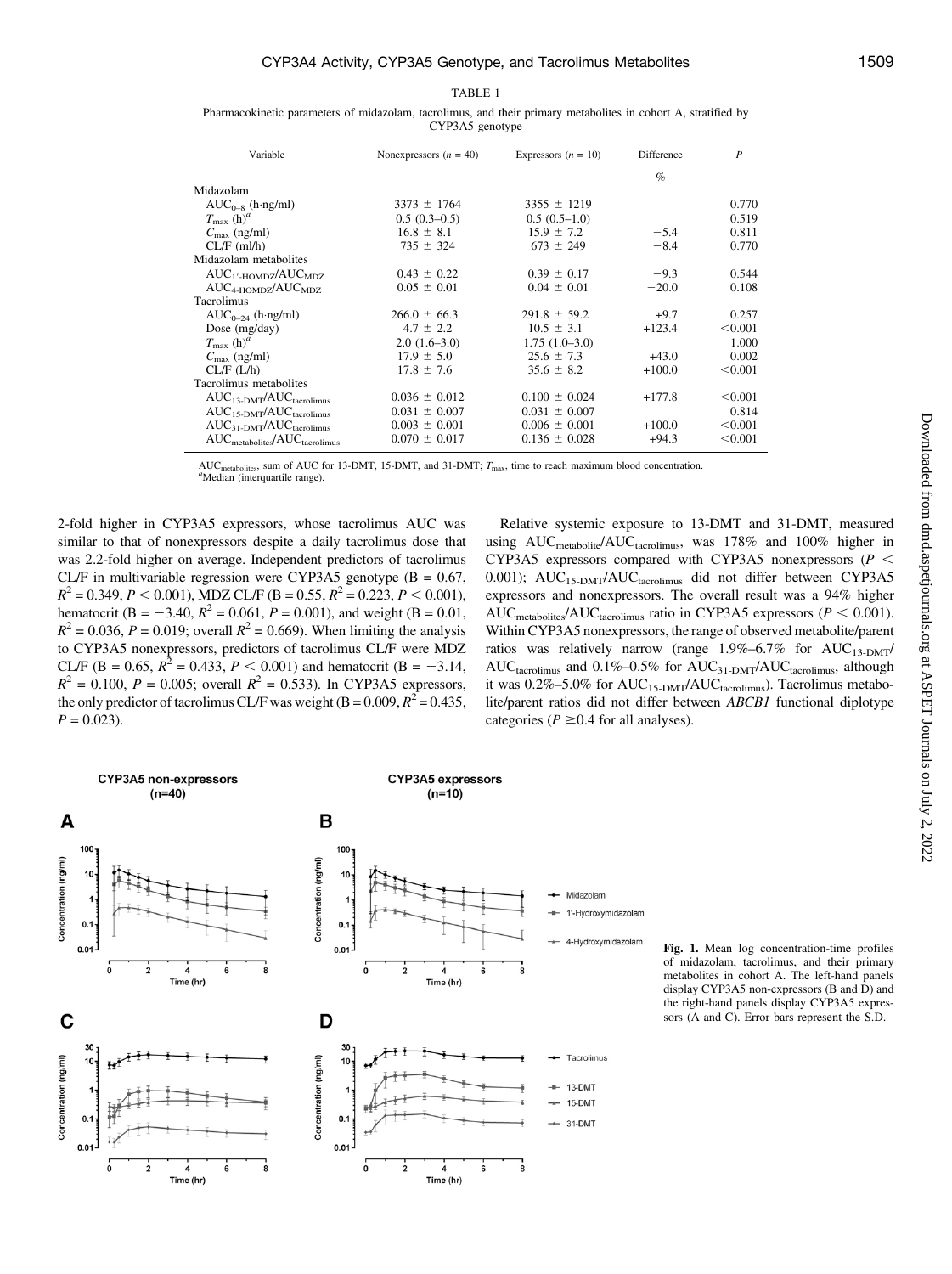TABLE 1

Pharmacokinetic parameters of midazolam, tacrolimus, and their primary metabolites in cohort A, stratified by CYP3A5 genotype

| Variable                        | Nonexpressors $(n = 40)$ | Expressors $(n = 10)$ | Difference | $\boldsymbol{P}$ |
|---------------------------------|--------------------------|-----------------------|------------|------------------|
|                                 |                          |                       | $\%$       |                  |
| Midazolam                       |                          |                       |            |                  |
| $AUC_{0-R}$ (h ng/ml)           | $3373 \pm 1764$          | $3355 \pm 1219$       |            | 0.770            |
| $T_{\rm max}$ (h) <sup>a</sup>  | $0.5(0.3-0.5)$           | $0.5(0.5-1.0)$        |            | 0.519            |
| $C_{\text{max}}$ (ng/ml)        | $16.8 \pm 8.1$           | $15.9 \pm 7.2$        | $-5.4$     | 0.811            |
| $CL/F$ (ml/h)                   | $735 \pm 324$            | $673 \pm 249$         | $-8.4$     | 0.770            |
| Midazolam metabolites           |                          |                       |            |                  |
| $AUC_{1'$ -HOMDZ $/AUC_{MDZ}$   | $0.43 \pm 0.22$          | $0.39 \pm 0.17$       | $-9.3$     | 0.544            |
| $AUC_{4-HOMDZ}/AUC_{MDZ}$       | $0.05 \pm 0.01$          | $0.04 \pm 0.01$       | $-20.0$    | 0.108            |
| Tacrolimus                      |                          |                       |            |                  |
| $AUC_{0-24}$ (h ng/ml)          | $266.0 \pm 66.3$         | $291.8 \pm 59.2$      | $+9.7$     | 0.257            |
| Dose $(mg/day)$                 | $4.7 \pm 2.2$            | $10.5 \pm 3.1$        | $+123.4$   | < 0.001          |
| $T_{\rm max}$ (h) <sup>a</sup>  | $2.0(1.6-3.0)$           | $1.75(1.0-3.0)$       |            | 1.000            |
| $C_{\text{max}}$ (ng/ml)        | $17.9 \pm 5.0$           | $25.6 \pm 7.3$        | $+43.0$    | 0.002            |
| CL/F (L/h)                      | $17.8 \pm 7.6$           | $35.6 \pm 8.2$        | $+100.0$   | < 0.001          |
| Tacrolimus metabolites          |                          |                       |            |                  |
| $AUC_{13-DMT}/AUC_{tacrolimus}$ | $0.036 \pm 0.012$        | $0.100 \pm 0.024$     | $+177.8$   | < 0.001          |
| $AUC_{15-DMT}/AUC_{tacrolling}$ | $0.031 \pm 0.007$        | $0.031 \pm 0.007$     |            | 0.814            |
| $AUC_{31-DMT}/AUC_{tacrolimus}$ | $0.003 \pm 0.001$        | $0.006 \pm 0.001$     | $+100.0$   | < 0.001          |
| $AUCmetabolites/AUCtacrolimus$  | $0.070 \pm 0.017$        | $0.136 \pm 0.028$     | $+94.3$    | < 0.001          |

AUC<sub>metabolites</sub>, sum of AUC for 13-DMT, 15-DMT, and 31-DMT;  $T_{\text{max}}$ , time to reach maximum blood concentration. "Median (interquartile range).

2-fold higher in CYP3A5 expressors, whose tacrolimus AUC was similar to that of nonexpressors despite a daily tacrolimus dose that was 2.2-fold higher on average. Independent predictors of tacrolimus CL/F in multivariable regression were CYP3A5 genotype  $(B = 0.67,$  $R^{2} = 0.349, P < 0.001$ ), MDZ CL/F (B = 0.55,  $R^{2} = 0.223, P < 0.001$ ), hematocrit (B = -3.40,  $R^2$  = 0.061, P = 0.001), and weight (B = 0.01,  $R^{2} = 0.036$ ,  $P = 0.019$ ; overall  $R^{2} = 0.669$ ). When limiting the analysis to CYP3A5 nonexpressors, predictors of tacrolimus CL/F were MDZ CL/F (B = 0.65,  $R^2 = 0.433$ ,  $P < 0.001$ ) and hematocrit (B = -3.14,  $R^2 = 0.100$ ,  $P = 0.005$ ; overall  $R^2 = 0.533$ ). In CYP3A5 expressors, the only predictor of tacrolimus CL/F was weight (B = 0.009,  $R^2$  = 0.435,  $P = 0.023$ .

Relative systemic exposure to 13-DMT and 31-DMT, measured using AUC<sub>metabolite</sub>/AUC<sub>tacrolimus</sub>, was 178% and 100% higher in CYP3A5 expressors compared with CYP3A5 nonexpressors ( $P$  < 0.001); AUC<sub>15-DMT</sub>/AUC<sub>tacrolimus</sub> did not differ between CYP3A5 expressors and nonexpressors. The overall result was a 94% higher AUC<sub>metabolites</sub>/AUC<sub>tacrolimus</sub> ratio in CYP3A5 expressors ( $P < 0.001$ ). Within CYP3A5 nonexpressors, the range of observed metabolite/parent ratios was relatively narrow (range  $1.9\% - 6.7\%$  for  $AUC_{13-DMT}$ ) AUC<sub>tacrolimus</sub> and  $0.1\%$ -0.5% for AUC<sub>31-DMT</sub>/AUC<sub>tacrolimus</sub>, although it was 0.2%–5.0% for AUC<sub>15-DMT</sub>/AUC<sub>tacrolimus</sub>). Tacrolimus metabolite/parent ratios did not differ between ABCB1 functional diplotype categories ( $P \ge 0.4$  for all analyses).



Fig. 1. Mean log concentration-time profiles of midazolam, tacrolimus, and their primary metabolites in cohort A. The left-hand panels display CYP3A5 non-expressors (B and D) and the right-hand panels display CYP3A5 expressors (A and C). Error bars represent the S.D.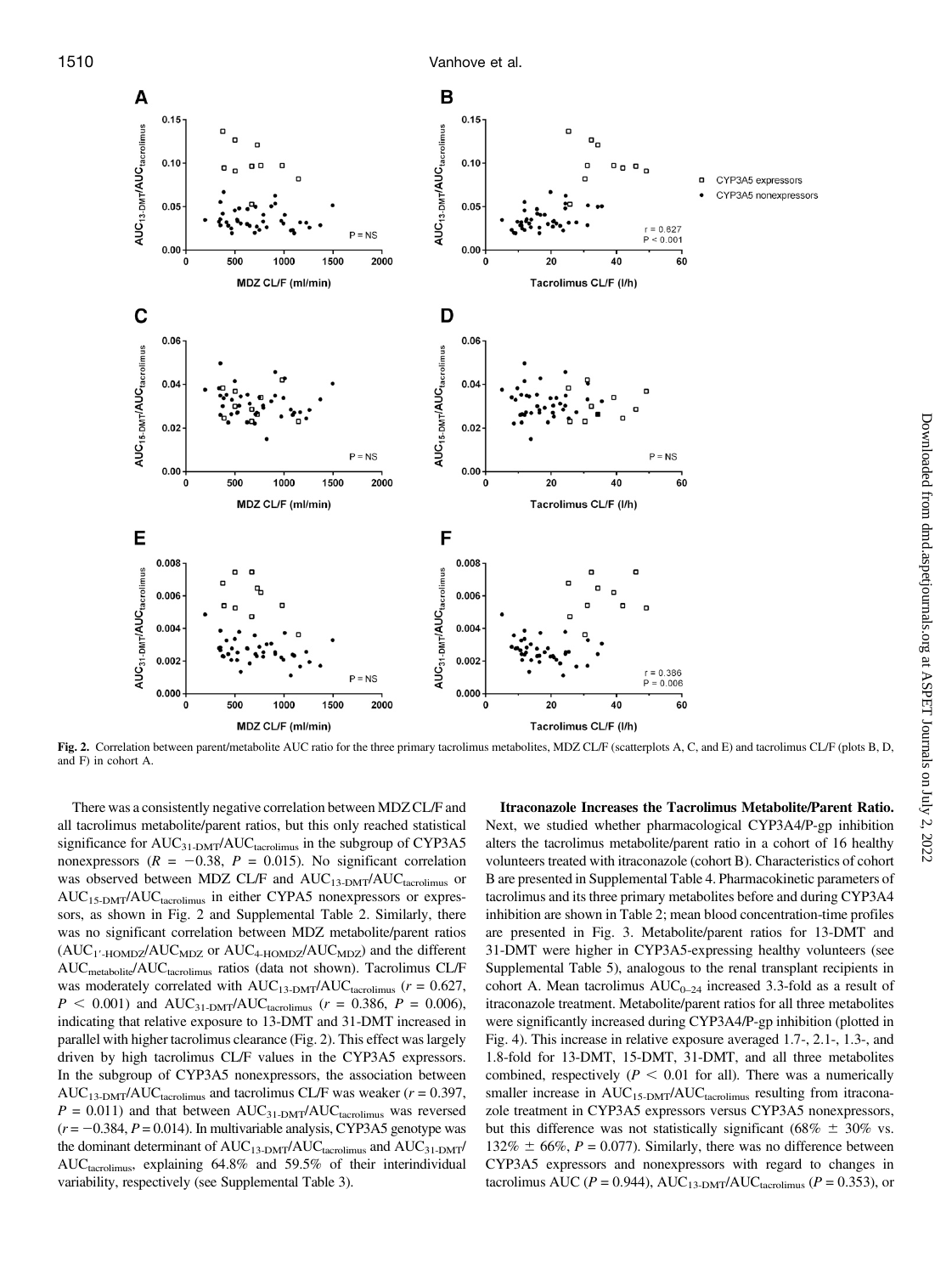



Fig. 2. Correlation between parent/metabolite AUC ratio for the three primary tacrolimus metabolites, MDZ CL/F (scatterplots A, C, and E) and tacrolimus CL/F (plots B, D, and F) in cohort A.

There was a consistently negative correlation between MDZ CL/F and all tacrolimus metabolite/parent ratios, but this only reached statistical significance for AUC<sub>31-DMT</sub>/AUC<sub>tacrolimus</sub> in the subgroup of CYP3A5 nonexpressors ( $R = -0.38$ ,  $P = 0.015$ ). No significant correlation was observed between MDZ CL/F and AUC<sub>13-DMT</sub>/AUC<sub>tacrolimus</sub> or AUC15-DMT/AUCtacrolimus in either CYPA5 nonexpressors or expressors, as shown in Fig. 2 and [Supplemental Table 2](http://dmd.aspetjournals.org/lookup/suppl/doi:10.1124/dmd.118.081935/-/DC1). Similarly, there was no significant correlation between MDZ metabolite/parent ratios  $(AUC_{1'-HOMDZ}/AUC_{MDZ}$  or  $AUC_{4-HOMDZ}/AUC_{MDZ}$ ) and the different AUC<sub>metabolite</sub>/AUC<sub>tacrolimus</sub> ratios (data not shown). Tacrolimus CL/F was moderately correlated with  $AUC_{13-DMT}/AUC_{tacrolimus}$  ( $r = 0.627$ ,  $P < 0.001$ ) and AUC<sub>31-DMT</sub>/AUC<sub>tacrolimus</sub> ( $r = 0.386, P = 0.006$ ), indicating that relative exposure to 13-DMT and 31-DMT increased in parallel with higher tacrolimus clearance (Fig. 2). This effect was largely driven by high tacrolimus CL/F values in the CYP3A5 expressors. In the subgroup of CYP3A5 nonexpressors, the association between AUC<sub>13-DMT</sub>/AUC<sub>tacrolimus</sub> and tacrolimus CL/F was weaker ( $r = 0.397$ ,  $P = 0.011$ ) and that between  $AUC_{31-DMT}/AUC_{tacrolimus}$  was reversed  $(r = -0.384, P = 0.014)$ . In multivariable analysis, CYP3A5 genotype was the dominant determinant of  $\mathrm{AUC}_{13\text{-} \mathrm{DMT}}/\mathrm{AUC}_{\mathrm{tacrolimus}}$  and  $\mathrm{AUC}_{31\text{-} \mathrm{DMT}}/\mathrm{AUC}_{\mathrm{tacrolimus}}$ AUC<sub>tacrolimus</sub>, explaining 64.8% and 59.5% of their interindividual variability, respectively (see [Supplemental Table 3](http://dmd.aspetjournals.org/lookup/suppl/doi:10.1124/dmd.118.081935/-/DC1)).

Itraconazole Increases the Tacrolimus Metabolite/Parent Ratio. Next, we studied whether pharmacological CYP3A4/P-gp inhibition alters the tacrolimus metabolite/parent ratio in a cohort of 16 healthy volunteers treated with itraconazole (cohort B). Characteristics of cohort B are presented in [Supplemental Table 4](http://dmd.aspetjournals.org/lookup/suppl/doi:10.1124/dmd.118.081935/-/DC1). Pharmacokinetic parameters of tacrolimus and its three primary metabolites before and during CYP3A4 inhibition are shown in Table 2; mean blood concentration-time profiles are presented in Fig. 3. Metabolite/parent ratios for 13-DMT and 31-DMT were higher in CYP3A5-expressing healthy volunteers (see [Supplemental Table 5](http://dmd.aspetjournals.org/lookup/suppl/doi:10.1124/dmd.118.081935/-/DC1)), analogous to the renal transplant recipients in cohort A. Mean tacrolimus  $AUC_{0-24}$  increased 3.3-fold as a result of itraconazole treatment. Metabolite/parent ratios for all three metabolites were significantly increased during CYP3A4/P-gp inhibition (plotted in Fig. 4). This increase in relative exposure averaged 1.7-, 2.1-, 1.3-, and 1.8-fold for 13-DMT, 15-DMT, 31-DMT, and all three metabolites combined, respectively ( $P < 0.01$  for all). There was a numerically smaller increase in  $AUC_{15-DMT}/AUC_{tacrolimus}$  resulting from itraconazole treatment in CYP3A5 expressors versus CYP3A5 nonexpressors, but this difference was not statistically significant (68%  $\pm$  30% vs.  $132\% \pm 66\%, P = 0.077$ . Similarly, there was no difference between CYP3A5 expressors and nonexpressors with regard to changes in tacrolimus AUC ( $P = 0.944$ ), AUC<sub>13-DMT</sub>/AUC<sub>tacrolimus</sub> ( $P = 0.353$ ), or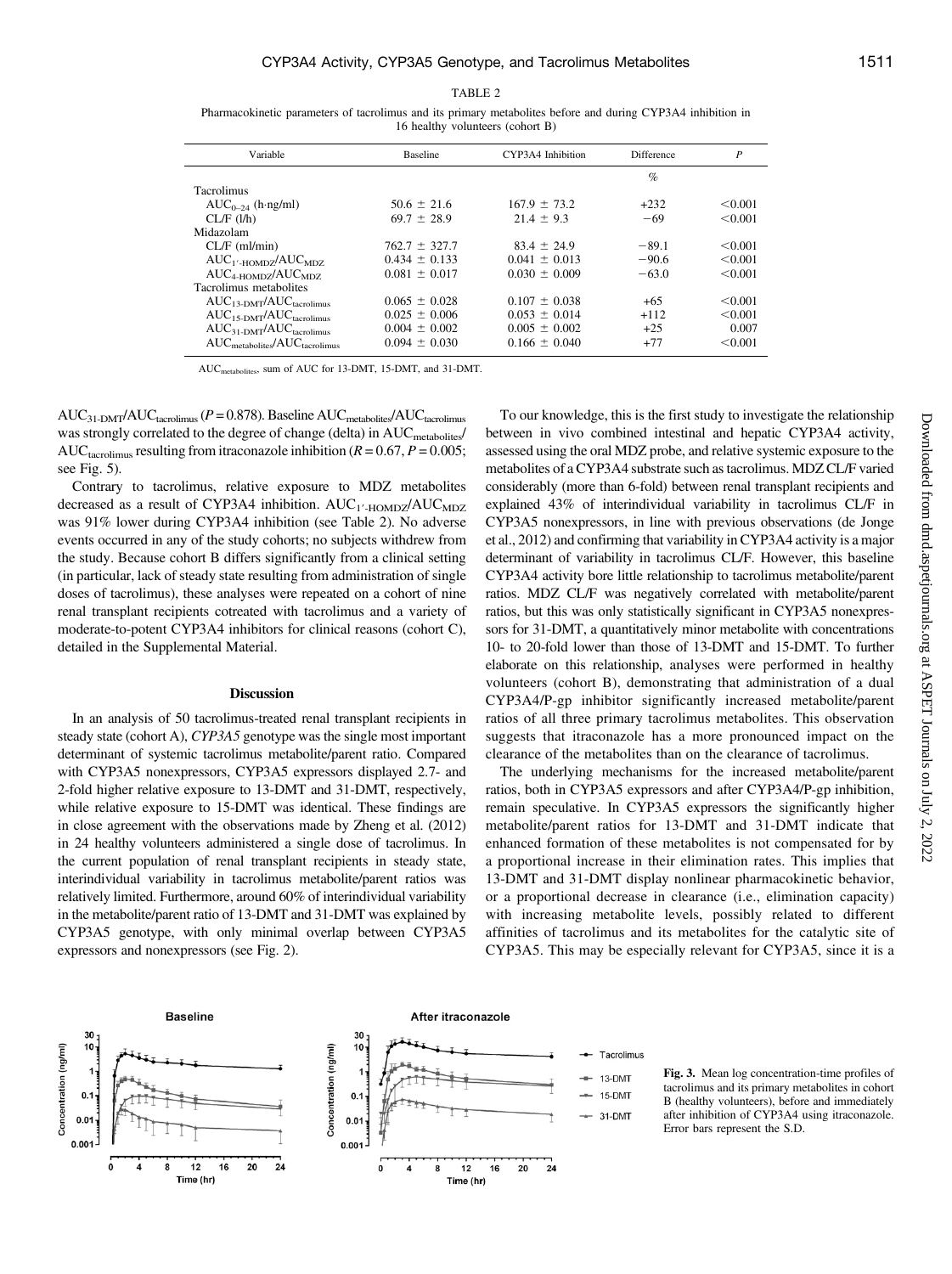TABLE 2

Pharmacokinetic parameters of tacrolimus and its primary metabolites before and during CYP3A4 inhibition in 16 healthy volunteers (cohort B)

| Variable                        | <b>Baseline</b>   | CYP3A4 Inhibition | Difference | P       |
|---------------------------------|-------------------|-------------------|------------|---------|
|                                 |                   |                   | $\%$       |         |
| <b>Tacrolimus</b>               |                   |                   |            |         |
| $AUC_{0-24}$ (h ng/ml)          | $50.6 \pm 21.6$   | $167.9 \pm 73.2$  | $+232$     | < 0.001 |
| CL/F (l/h)                      | $69.7 \pm 28.9$   | $21.4 \pm 9.3$    | $-69$      | < 0.001 |
| Midazolam                       |                   |                   |            |         |
| $CL/F$ (ml/min)                 | $762.7 \pm 327.7$ | $83.4 \pm 24.9$   | $-89.1$    | < 0.001 |
| $AUC_{1'$ -HOMDZ $/AUC_{MDZ}$   | $0.434 \pm 0.133$ | $0.041 \pm 0.013$ | $-90.6$    | < 0.001 |
| $AUC_{4-HOMDZ}/AUC_{MDZ}$       | $0.081 \pm 0.017$ | $0.030 \pm 0.009$ | $-63.0$    | < 0.001 |
| Tacrolimus metabolites          |                   |                   |            |         |
| $AUC_{13-DMT}/AUC_{tacrolling}$ | $0.065 \pm 0.028$ | $0.107 \pm 0.038$ | $+65$      | < 0.001 |
| $AUC_{15-DMT}/AUC_{tacmlimus}$  | $0.025 \pm 0.006$ | $0.053 \pm 0.014$ | $+112$     | < 0.001 |
| $AUC_{31-DMT}/AUC_{tacrolling}$ | $0.004 \pm 0.002$ | $0.005 \pm 0.002$ | $+25$      | 0.007   |
| $AUCmetabolic/AUCtacrolimus$    | $0.094 \pm 0.030$ | $0.166 \pm 0.040$ | $+77$      | < 0.001 |

AUCmetabolites, sum of AUC for 13-DMT, 15-DMT, and 31-DMT.

 $AUC_{31-DMT}/AUC_{tacrolimus}$  ( $P = 0.878$ ). Baseline  $AUC_{metabolic}/AUC_{tacrolimus}$ was strongly correlated to the degree of change (delta) in AUC<sub>metabolites</sub>/ AUC<sub>tacrolimus</sub> resulting from itraconazole inhibition ( $R = 0.67$ ,  $P = 0.005$ ; see Fig. 5).

Contrary to tacrolimus, relative exposure to MDZ metabolites decreased as a result of CYP3A4 inhibition.  $AUC_1$ <sup>-</sup>HOMDZ<sup>/</sup>AUC<sub>MDZ</sub> was 91% lower during CYP3A4 inhibition (see Table 2). No adverse events occurred in any of the study cohorts; no subjects withdrew from the study. Because cohort B differs significantly from a clinical setting (in particular, lack of steady state resulting from administration of single doses of tacrolimus), these analyses were repeated on a cohort of nine renal transplant recipients cotreated with tacrolimus and a variety of moderate-to-potent CYP3A4 inhibitors for clinical reasons (cohort C), detailed in the [Supplemental Material](http://dmd.aspetjournals.org/lookup/suppl/doi:10.1124/dmd.118.081935/-/DC1).

## Discussion

In an analysis of 50 tacrolimus-treated renal transplant recipients in steady state (cohort A), CYP3A5 genotype was the single most important determinant of systemic tacrolimus metabolite/parent ratio. Compared with CYP3A5 nonexpressors, CYP3A5 expressors displayed 2.7- and 2-fold higher relative exposure to 13-DMT and 31-DMT, respectively, while relative exposure to 15-DMT was identical. These findings are in close agreement with the observations made by Zheng et al. (2012) in 24 healthy volunteers administered a single dose of tacrolimus. In the current population of renal transplant recipients in steady state, interindividual variability in tacrolimus metabolite/parent ratios was relatively limited. Furthermore, around 60% of interindividual variability in the metabolite/parent ratio of 13-DMT and 31-DMT was explained by CYP3A5 genotype, with only minimal overlap between CYP3A5 expressors and nonexpressors (see Fig. 2).

To our knowledge, this is the first study to investigate the relationship between in vivo combined intestinal and hepatic CYP3A4 activity, assessed using the oral MDZ probe, and relative systemic exposure to the metabolites of a CYP3A4 substrate such as tacrolimus. MDZ CL/F varied considerably (more than 6-fold) between renal transplant recipients and explained 43% of interindividual variability in tacrolimus CL/F in CYP3A5 nonexpressors, in line with previous observations (de Jonge et al., 2012) and confirming that variability in CYP3A4 activity is a major determinant of variability in tacrolimus CL/F. However, this baseline CYP3A4 activity bore little relationship to tacrolimus metabolite/parent ratios. MDZ CL/F was negatively correlated with metabolite/parent ratios, but this was only statistically significant in CYP3A5 nonexpressors for 31-DMT, a quantitatively minor metabolite with concentrations 10- to 20-fold lower than those of 13-DMT and 15-DMT. To further elaborate on this relationship, analyses were performed in healthy volunteers (cohort B), demonstrating that administration of a dual CYP3A4/P-gp inhibitor significantly increased metabolite/parent ratios of all three primary tacrolimus metabolites. This observation suggests that itraconazole has a more pronounced impact on the clearance of the metabolites than on the clearance of tacrolimus.

The underlying mechanisms for the increased metabolite/parent ratios, both in CYP3A5 expressors and after CYP3A4/P-gp inhibition, remain speculative. In CYP3A5 expressors the significantly higher metabolite/parent ratios for 13-DMT and 31-DMT indicate that enhanced formation of these metabolites is not compensated for by a proportional increase in their elimination rates. This implies that 13-DMT and 31-DMT display nonlinear pharmacokinetic behavior, or a proportional decrease in clearance (i.e., elimination capacity) with increasing metabolite levels, possibly related to different affinities of tacrolimus and its metabolites for the catalytic site of CYP3A5. This may be especially relevant for CYP3A5, since it is a



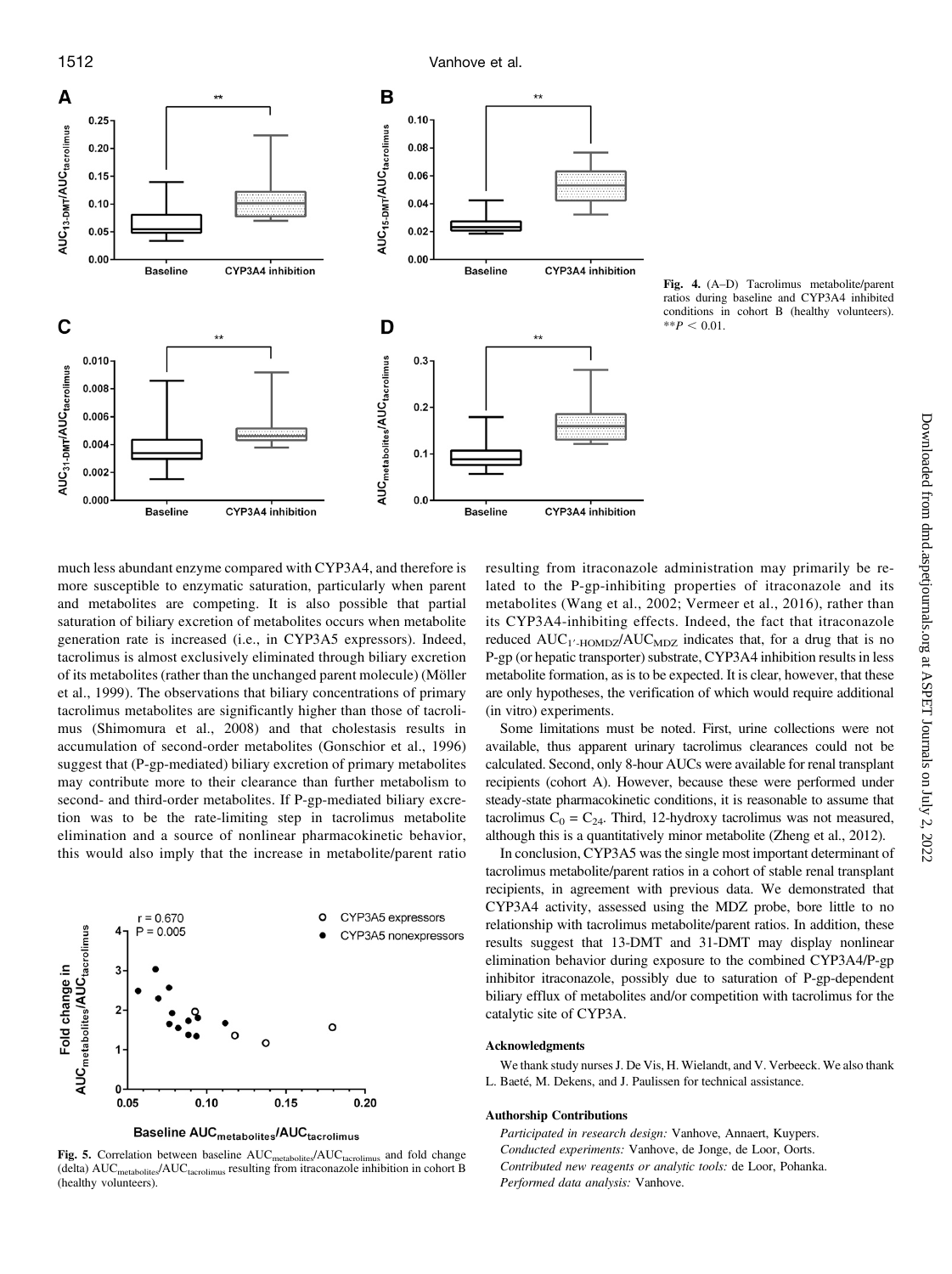

Fig. 4. (A–D) Tacrolimus metabolite/parent ratios during baseline and CYP3A4 inhibited conditions in cohort B (healthy volunteers).  $*$  $P < 0.01$ .

much less abundant enzyme compared with CYP3A4, and therefore is more susceptible to enzymatic saturation, particularly when parent and metabolites are competing. It is also possible that partial saturation of biliary excretion of metabolites occurs when metabolite generation rate is increased (i.e., in CYP3A5 expressors). Indeed, tacrolimus is almost exclusively eliminated through biliary excretion of its metabolites (rather than the unchanged parent molecule) (Möller et al., 1999). The observations that biliary concentrations of primary tacrolimus metabolites are significantly higher than those of tacrolimus (Shimomura et al., 2008) and that cholestasis results in accumulation of second-order metabolites (Gonschior et al., 1996) suggest that (P-gp-mediated) biliary excretion of primary metabolites may contribute more to their clearance than further metabolism to second- and third-order metabolites. If P-gp-mediated biliary excretion was to be the rate-limiting step in tacrolimus metabolite elimination and a source of nonlinear pharmacokinetic behavior, this would also imply that the increase in metabolite/parent ratio



Baseline AUC<sub>metabolites</sub>/AUC<sub>tacrolimus</sub>

Fig. 5. Correlation between baseline  $AUC_{\text{metabolites}}/AUC_{\text{tacrolimus}}$  and fold change (delta) AUC<sub>metabolites</sub>/AUC<sub>tacrolimus</sub> resulting from itraconazole inhibition in cohort B (healthy volunteers).

resulting from itraconazole administration may primarily be related to the P-gp-inhibiting properties of itraconazole and its metabolites (Wang et al., 2002; Vermeer et al., 2016), rather than its CYP3A4-inhibiting effects. Indeed, the fact that itraconazole reduced  $AUC_{1'HOMDZ}/AUC_{MDZ}$  indicates that, for a drug that is no P-gp (or hepatic transporter) substrate, CYP3A4 inhibition results in less metabolite formation, as is to be expected. It is clear, however, that these are only hypotheses, the verification of which would require additional (in vitro) experiments.

Some limitations must be noted. First, urine collections were not available, thus apparent urinary tacrolimus clearances could not be calculated. Second, only 8-hour AUCs were available for renal transplant recipients (cohort A). However, because these were performed under steady-state pharmacokinetic conditions, it is reasonable to assume that tacrolimus  $C_0 = C_{24}$ . Third, 12-hydroxy tacrolimus was not measured, although this is a quantitatively minor metabolite (Zheng et al., 2012).

In conclusion, CYP3A5 was the single most important determinant of tacrolimus metabolite/parent ratios in a cohort of stable renal transplant recipients, in agreement with previous data. We demonstrated that CYP3A4 activity, assessed using the MDZ probe, bore little to no relationship with tacrolimus metabolite/parent ratios. In addition, these results suggest that 13-DMT and 31-DMT may display nonlinear elimination behavior during exposure to the combined CYP3A4/P-gp inhibitor itraconazole, possibly due to saturation of P-gp-dependent biliary efflux of metabolites and/or competition with tacrolimus for the catalytic site of CYP3A.

### Acknowledgments

We thank study nurses J. De Vis, H. Wielandt, and V. Verbeeck. We also thank L. Baeté, M. Dekens, and J. Paulissen for technical assistance.

#### Authorship Contributions

Participated in research design: Vanhove, Annaert, Kuypers. Conducted experiments: Vanhove, de Jonge, de Loor, Oorts. Contributed new reagents or analytic tools: de Loor, Pohanka. Performed data analysis: Vanhove.